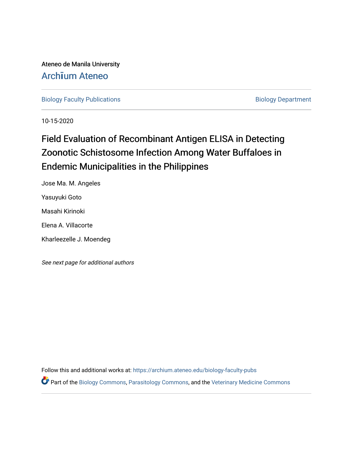Ateneo de Manila University Arch**ī**[um Ateneo](https://archium.ateneo.edu/) 

[Biology Faculty Publications](https://archium.ateneo.edu/biology-faculty-pubs) **Biology Department** 

10-15-2020

# Field Evaluation of Recombinant Antigen ELISA in Detecting Zoonotic Schistosome Infection Among Water Buffaloes in Endemic Municipalities in the Philippines

Jose Ma. M. Angeles Yasuyuki Goto Masahi Kirinoki Elena A. Villacorte Kharleezelle J. Moendeg

See next page for additional authors

Follow this and additional works at: [https://archium.ateneo.edu/biology-faculty-pubs](https://archium.ateneo.edu/biology-faculty-pubs?utm_source=archium.ateneo.edu%2Fbiology-faculty-pubs%2F108&utm_medium=PDF&utm_campaign=PDFCoverPages) 

**P** Part of the [Biology Commons,](http://network.bepress.com/hgg/discipline/41?utm_source=archium.ateneo.edu%2Fbiology-faculty-pubs%2F108&utm_medium=PDF&utm_campaign=PDFCoverPages) [Parasitology Commons,](http://network.bepress.com/hgg/discipline/39?utm_source=archium.ateneo.edu%2Fbiology-faculty-pubs%2F108&utm_medium=PDF&utm_campaign=PDFCoverPages) and the Veterinary Medicine Commons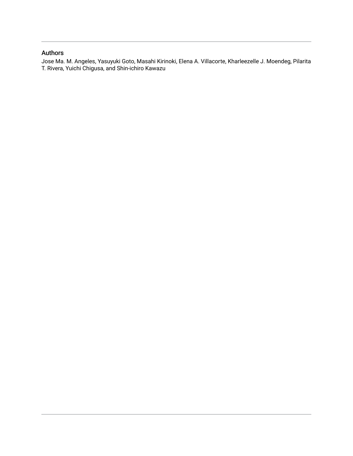# Authors

Jose Ma. M. Angeles, Yasuyuki Goto, Masahi Kirinoki, Elena A. Villacorte, Kharleezelle J. Moendeg, Pilarita T. Rivera, Yuichi Chigusa, and Shin-ichiro Kawazu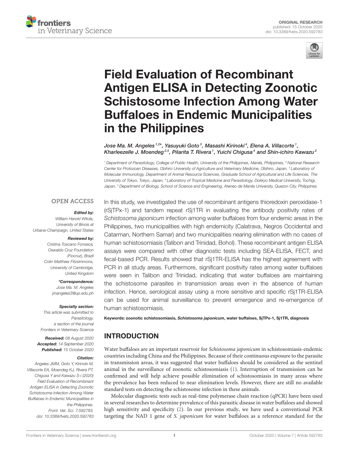



# Field Evaluation of Recombinant Antigen ELISA in Detecting Zoonotic [Schistosome Infection Among Water](https://www.frontiersin.org/articles/10.3389/fvets.2020.592783/full) Buffaloes in Endemic Municipalities in the Philippines

Jose Ma. M. Angeles 1,2\*, Yasuyuki Goto 3, Masashi Kirinoki 4, Elena A. Villacorte 1, Kharleezelle J. Moendeg $^{\mathrm{2.5}}$ , Pilarita T. Rivera  $^{\mathrm{1}}$ , Yuichi Chigusa $^{\mathrm{4}}$  and Shin-ichiro Kawazu $^{\mathrm{2}}$ 

*<sup>1</sup> Department of Parasitology, College of Public Health, University of the Philippines, Manila, Philippines, <sup>2</sup> National Research Center for Protozoan Diseases, Obihiro University of Agriculture and Veterinary Medicine, Obihiro, Japan, <sup>3</sup> Laboratory of Molecular Immunology, Department of Animal Resource Sciences, Graduate School of Agricultural and Life Sciences, The University of Tokyo, Tokyo, Japan, <sup>4</sup> Laboratory of Tropical Medicine and Parasitology, Dokkyo Medical University, Tochigi, Japan, <sup>5</sup> Department of Biology, School of Science and Engineering, Ateneo de Manila University, Quezon City, Philippines*

#### **OPEN ACCESS**

#### Edited by:

*William Harold Witola, University of Illinois at Urbana-Champaign, United States*

#### Reviewed by:

*Cristina Toscano Fonseca, Oswaldo Cruz Foundation (Fiocruz), Brazil Colin Matthew Fitzsimmons, University of Cambridge, United Kingdom*

\*Correspondence:

*Jose Ma. M. Angeles [jmangeles3@up.edu.ph](mailto:jmangeles3@up.edu.ph)*

#### Specialty section:

*This article was submitted to Parasitology, a section of the journal Frontiers in Veterinary Science*

Received: *08 August 2020* Accepted: *14 September 2020* Published: *15 October 2020*

#### Citation:

*Angeles JMM, Goto Y, Kirinoki M, Villacorte EA, Moendeg KJ, Rivera PT, Chigusa Y and Kawazu S-i (2020) Field Evaluation of Recombinant Antigen ELISA in Detecting Zoonotic Schistosome Infection Among Water Buffaloes in Endemic Municipalities in the Philippines. Front. Vet. Sci. 7:592783. doi: [10.3389/fvets.2020.592783](https://doi.org/10.3389/fvets.2020.592783)*

In this study, we investigated the use of recombinant antigens thioredoxin peroxidase-1 (rSjTPx-1) and tandem repeat rSj1TR in evaluating the antibody positivity rates of *Schistosoma japonicum* infection among water buffaloes from four endemic areas in the Philippines, two municipalities with high endemicity (Calatrava, Negros Occidental and Catarman, Northern Samar) and two municipalities nearing elimination with no cases of human schistosomiasis (Talibon and Trinidad, Bohol). These recombinant antigen ELISA assays were compared with other diagnostic tests including SEA-ELISA, FECT, and fecal-based PCR. Results showed that rSj1TR-ELISA has the highest agreement with PCR in all study areas. Furthermore, significant positivity rates among water buffaloes were seen in Talibon and Trinidad, indicating that water buffaloes are maintaining the schistosome parasites in transmission areas even in the absence of human infection. Hence, serological assay using a more sensitive and specific rSj1TR-ELISA can be used for animal surveillance to prevent emergence and re-emergence of human schistosomiasis.

Keywords: zoonotic schistosomiasis, Schistosoma japonicum, water buffaloes, SjTPx-1, Sj1TR, diagnosis

# INTRODUCTION

Water buffaloes are an important reservoir for Schistosoma japonicum in schistosomiasis-endemic countries including China and the Philippines. Because of their continuous exposure to the parasite in transmission areas, it was suggested that water buffaloes should be considered as the sentinel animal in the surveillance of zoonotic schistosomiasis [\(1\)](#page-7-0). Interruption of transmission can be confirmed and will help achieve possible elimination of schistosomiasis in many areas where the prevalence has been reduced to near elimination levels. However, there are still no available standard tests on detecting the schistosome infection in these animals.

Molecular diagnostic tests such as real-time polymerase chain reaction (qPCR) have been used in several researches to determine prevalence of this parasitic disease in water buffaloes and showed high sensitivity and specificity [\(2\)](#page-7-1). In our previous study, we have used a conventional PCR targeting the NAD 1 gene of S. japonicum for water buffaloes as a reference standard for the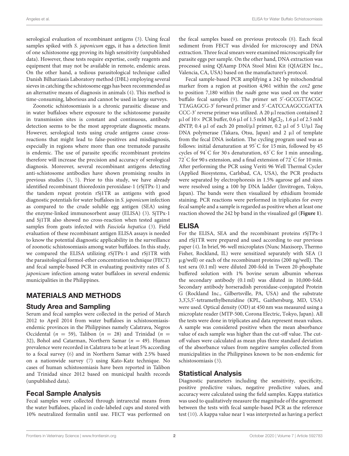serological evaluation of recombinant antigens [\(3\)](#page-7-2). Using fecal samples spiked with S. japonicum eggs, it has a detection limit of one schistosome egg proving its high sensitivity (unpublished data). However, these tests require expertise, costly reagents and equipment that may not be available in remote, endemic areas. On the other hand, a tedious parasitological technique called Danish Bilharziasis Laboratory method (DBL) employing several sieves in catching the schistosome eggs has been recommended as an alternative means of diagnosis in animals [\(4\)](#page-7-3). This method is time-consuming, laborious and cannot be used in large surveys.

Zoonotic schistosomiasis is a chronic parasitic disease and in water buffaloes where exposure to the schistosome parasite in transmission sites is constant and continuous, antibody detection seems to be the most appropriate diagnostic means. However, serological tests using crude antigens cause crossreactions that might lead to false-positives and misdiagnosis, especially in regions where more than one trematode parasite is endemic. The use of parasite specific recombinant proteins therefore will increase the precision and accuracy of serological diagnosis. Moreover, several recombinant antigens detecting anti-schistosome antibodies have shown promising results in previous studies [\(3,](#page-7-2) [5\)](#page-7-4). Prior to this study, we have already identified recombinant thioredoxin peroxidase-1 (rSjTPx-1) and the tandem repeat protein rSj1TR as antigens with good diagnostic potentials for water buffaloes in S. japonicum infection as compared to the crude soluble egg antigen (SEA) using the enzyme-linked immunosorbent assay (ELISA) [\(3\)](#page-7-2). SjTPx-1 and Sj1TR also showed no cross-reaction when tested against samples from goats infected with Fasciola hepatica [\(3\)](#page-7-2). Field evaluation of these recombinant antigen ELISA assays is needed to know the potential diagnostic applicability in the surveillance of zoonotic schistosomiasis among water buffaloes. In this study, we compared the ELISA utilizing rSjTPx-1 and rSj1TR with the parasitological formol-ether concentration technique (FECT) and fecal sample-based PCR in evaluating positivity rates of S. japonicum infection among water buffaloes in several endemic municipalities in the Philippines.

## MATERIALS AND METHODS

## Study Area and Sampling

Serum and fecal samples were collected in the period of March 2012 to April 2014 from water buffaloes in schistosomiasisendemic provinces in the Philippines namely Calatrava, Negros Occidental ( $n = 59$ ), Talibon ( $n = 28$ ) and Trinidad ( $n =$ 32), Bohol and Catarman, Northern Samar ( $n = 49$ ). Human prevalence were recorded in Calatrava to be at least 5% according to a focal survey [\(6\)](#page-7-5) and in Northern Samar with 2.5% based on a nationwide survey [\(7\)](#page-7-6) using Kato-Katz technique. No cases of human schistosomiasis have been reported in Talibon and Trinidad since 2012 based on municipal health records (unpublished data).

## Fecal Sample Analysis

Fecal samples were collected through intrarectal means from the water buffaloes, placed in code-labeled cups and stored with 10% neutralized formalin until use. FECT was performed on

the fecal samples based on previous protocols [\(8\)](#page-7-7). Each fecal sediment from FECT was divided for microscopy and DNA extraction. Three fecal smears were examined microscopically for parasite eggs per sample. On the other hand, DNA extraction was processed using QIAamp DNA Stool Mini Kit (QIAGEN Inc., Valencia, CA, USA) based on the manufacturer's protocol.

Fecal sample-based PCR amplifying a 242 bp mitochondrial marker from a region at position 4,961 within the cox2 gene to position 7,180 within the *nad6* gene was used on the water buffalo fecal samples [\(9\)](#page-7-8). The primer set 5'-GCCGTTACGC TTAGAGCG-3′ forward primer and 5′ -CATCCAAGCCGATTA CCC-3′ reverse primer was utilized. A 20 µl reaction contained 2  $\mu$ l of 10× PCR buffer, 0.6  $\mu$ l of 1.5 mM MgCl<sub>2</sub>, 1.6  $\mu$ l of 2.5 mM dNTP, 0.4  $\mu$ l of each 20 pmol/ $\mu$ l primer, 0.2  $\mu$ l of 5 U/ $\mu$ l Taq DNA polymerase (Takara, Otsu, Japan) and  $2 \mu l$  of template from the fecal DNA isolation. The cycling program used was as follows: initial denaturation at 95℃ for 15 min, followed by 45 cycles of 94◦ C for 30 s denaturation, 63◦ C for 1 min annealing, 72° C for 90 s extension, and a final extension of 72° C for 10 min. After performing the PCR using Veriti 96 Well Thermal Cycler (Applied Biosystems, Carlsbad, CA, USA), the PCR products were separated by electrophoresis in 1.5% agarose gel and sizes were resolved using a 100 bp DNA ladder (Invitrogen, Tokyo, Japan). The bands were then visualized by ethidium bromide staining. PCR reactions were performed in triplicates for every fecal sample and a sample is regarded as positive when at least one reaction showed the 242 bp band in the visualized gel (**[Figure 1](#page-4-0)**).

# ELISA

For the ELISA, SEA and the recombinant proteins rSjTPx-1 and rSj1TR were prepared and used according to our previous paper [\(4\)](#page-7-3). In brief, 96-well microplates (Nunc Maxisorp, Thermo Fisher, Rockland, IL) were sensitized separately with SEA (1 µg/well) or each of the recombinant proteins (200 ng/well). The test sera (0.1 ml) were diluted 200-fold in Tween 20-phosphate buffered solution with 1% bovine serum albumin whereas the secondary antibody (0.1 ml) was diluted in 10,000-fold. Secondary antibody horseradish peroxidase-conjugated Protein G (Rockland Inc., Gilbertsville, PA, USA) and the substrate 3,3',5,5'-tetramethylbenzidine (KPL, Gaithersburg, MD, USA) were used. Optical density (OD) at 450 nm was measured using a microplate reader (MTP-500, Corona Electric, Tokyo, Japan). All the tests were done in triplicates and data represent mean values. A sample was considered positive when the mean absorbance value of each sample was higher than the cut-off value. The cutoff values were calculated as mean plus three standard deviation of the absorbance values from negative samples collected from municipalities in the Philippines known to be non-endemic for schistosomiasis [\(3\)](#page-7-2).

## Statistical Analysis

Diagnostic parameters including the sensitivity, specificity, positive predictive values, negative predictive values, and accuracy were calculated using the field samples. Kappa statistics was used to qualitatively measure the magnitude of the agreement between the tests with fecal sample-based PCR as the reference test [\(10\)](#page-7-9). A kappa value near 1 was interpreted as having a perfect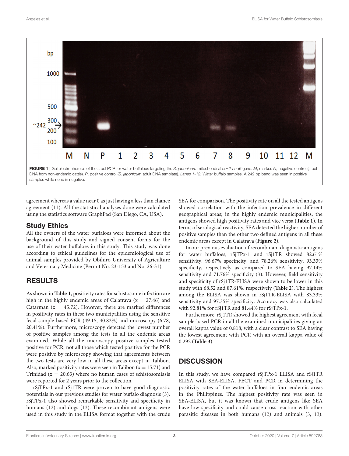

<span id="page-4-0"></span>agreement whereas a value near 0 as just having a less than chance agreement [\(11\)](#page-7-10). All the statistical analyses done were calculated using the statistics software GraphPad (San Diego, CA, USA).

#### Study Ethics

All the owners of the water buffaloes were informed about the background of this study and signed consent forms for the use of their water buffaloes in this study. This study was done according to ethical guidelines for the epidemiological use of animal samples provided by Obihiro University of Agriculture and Veterinary Medicine (Permit No. 23-153 and No. 26-31).

# RESULTS

As shown in **[Table 1](#page-5-0)**, positivity rates for schistosome infection are high in the highly endemic areas of Calatrava ( $x = 27.46$ ) and Catarman ( $x = 45.72$ ). However, there are marked differences in positivity rates in these two municipalities using the sensitive fecal sample-based PCR (49.15, 40.82%) and microscopy (6.78, 20.41%). Furthermore, microscopy detected the lowest number of positive samples among the tests in all the endemic areas examined. While all the microscopy positive samples tested positive for PCR, not all those which tested positive for the PCR were positive by microscopy showing that agreements between the two tests are very low in all these areas except in Talibon. Also, marked positivity rates were seen in Talibon ( $x = 15.71$ ) and Trinidad ( $x = 20.63$ ) where no human cases of schistosomiasis were reported for 2 years prior to the collection.

rSjTPx-1 and rSj1TR were proven to have good diagnostic potentials in our previous studies for water buffalo diagnosis [\(3\)](#page-7-2). rSjTPx-1 also showed remarkable sensitivity and specificity in humans [\(12\)](#page-7-11) and dogs [\(13\)](#page-7-12). These recombinant antigens were used in this study in the ELISA format together with the crude SEA for comparison. The positivity rate on all the tested antigens showed correlation with the infection prevalence in different geographical areas; in the highly endemic municipalities, the antigens showed high positivity rates and vice versa (**[Table 1](#page-5-0)**). In terms of serological reactivity, SEA detected the higher number of positive samples than the other two defined antigens in all these endemic areas except in Calatrava (**[Figure 2](#page-5-1)**).

In our previous evaluation of recombinant diagnostic antigens for water buffaloes, rSjTPx-1 and rSj1TR showed 82.61% sensitivity, 96.67% specificity, and 78.26% sensitivity, 93.33% specificity, respectively as compared to SEA having 97.14% sensitivity and 71.76% specificity [\(3\)](#page-7-2). However, field sensitivity and specificity of rSj1TR-ELISA were shown to be lower in this study with 68.52 and 87.61%, respectively (**[Table 2](#page-6-0)**). The highest among the ELISA was shown in rSj1TR-ELISA with 83.33% sensitivity and 97.35% specificity. Accuracy was also calculated with 92.81% for rSj1TR and 81.44% for rSjTPx-1.

Furthermore, rSj1TR showed the highest agreement with fecal sample-based PCR in all the examined municipalities giving an overall kappa value of 0.818, with a clear contrast to SEA having the lowest agreement with PCR with an overall kappa value of 0.292 (**[Table 3](#page-6-1)**).

## **DISCUSSION**

In this study, we have compared rSjTPx-1 ELISA and rSj1TR ELISA with SEA-ELISA, FECT and PCR in determining the positivity rates of the water buffaloes in four endemic areas in the Philippines. The highest positivity rate was seen in SEA-ELISA, but it was known that crude antigens like SEA have low specificity and could cause cross-reaction with other parasitic diseases in both humans [\(12\)](#page-7-11) and animals [\(3,](#page-7-2) [13\)](#page-7-12).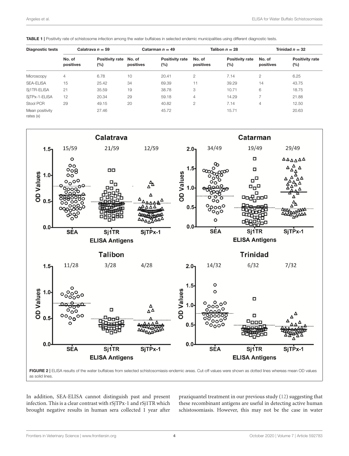| <b>Diagnostic tests</b>        | Calatrava $n = 59$  |                               | Catarman $n = 49$ |                               | Talibon $n = 28$    |                               | Trinidad $n = 32$   |                               |
|--------------------------------|---------------------|-------------------------------|-------------------|-------------------------------|---------------------|-------------------------------|---------------------|-------------------------------|
|                                | No. of<br>positives | Positivity rate No. of<br>(%) | positives         | <b>Positivity rate</b><br>(%) | No. of<br>positives | <b>Positivity rate</b><br>(%) | No. of<br>positives | <b>Positivity rate</b><br>(%) |
| Microscopy                     | $\overline{4}$      | 6.78                          | 10                | 20.41                         | 2                   | 7.14                          | 2                   | 6.25                          |
| <b>SEA-ELISA</b>               | 15                  | 25.42                         | 34                | 69.39                         | $\mathbf{L}$        | 39.29                         | 14                  | 43.75                         |
| Si1TR-ELISA                    | 21                  | 35.59                         | 19                | 38.78                         | 3                   | 10.71                         | 6                   | 18.75                         |
| SiTPx-1-ELISA                  | 12                  | 20.34                         | 29                | 59.18                         | $\overline{4}$      | 14.29                         |                     | 21.88                         |
| Stool PCR                      | 29                  | 49.15                         | 20                | 40.82                         | 2                   | 7.14                          | $\overline{4}$      | 12.50                         |
| Mean positivity<br>rates $(x)$ |                     | 27.46                         |                   | 45.72                         |                     | 15.71                         |                     | 20.63                         |

<span id="page-5-0"></span>TABLE 1 | Positivity rate of schistosome infection among the water buffaloes in selected endemic municipalities using different diagnostic tests.



<span id="page-5-1"></span>In addition, SEA-ELISA cannot distinguish past and present infection. This is a clear contrast with rSjTPx-1 and rSj1TR which brought negative results in human sera collected 1 year after praziquantel treatment in our previous study [\(12\)](#page-7-11) suggesting that these recombinant antigens are useful in detecting active human schistosomiasis. However, this may not be the case in water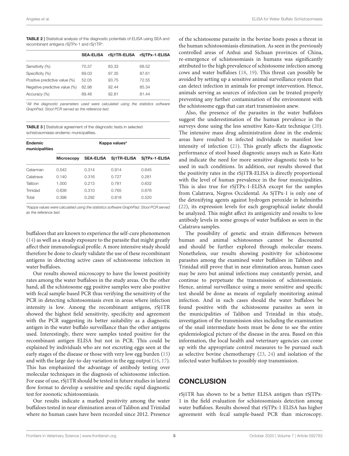<span id="page-6-0"></span>TABLE 2 | Statistical analysis of the diagnostic potentials of ELISA using SEA and recombinant antigens rSjTPx-1 and rSj1TR\*.

|                               | <b>SEA-ELISA</b> | rSi1TR-ELISA | rSjTPx-1-ELISA |
|-------------------------------|------------------|--------------|----------------|
| Sensitivity (%)               | 70.37            | 83.33        | 68.52          |
| Specificity (%)               | 69.03            | 97.35        | 87.61          |
| Positive predictive value (%) | 52.05            | 93.75        | 72.55          |
| Negative predictive value (%) | 82.98            | 92.44        | 85.34          |
| Accuracy (%)                  | 69.46            | 92.81        | 81.44          |

\**All the diagnostic parameters used were calculated using the statistics software GraphPad. Stool PCR served as the reference test.*

<span id="page-6-1"></span>TABLE 3 | Statistical agreement of the diagnostic tests in selected schistosomiasis-endemic municipalities.

| Endemic<br>municipalities | Kappa values*     |                  |             |               |  |  |  |
|---------------------------|-------------------|------------------|-------------|---------------|--|--|--|
|                           | <b>Microscopy</b> | <b>SEA-ELISA</b> | Si1TR-ELISA | SiTPx-1-ELISA |  |  |  |
| Catarman                  | 0.542             | 0.314            | 0.914       | 0.645         |  |  |  |
| Calatrava                 | 0.140             | 0.316            | 0.727       | 0.281         |  |  |  |
| Talibon                   | 1.000             | 0.213            | 0.781       | 0.632         |  |  |  |
| Trinidad                  | 0.636             | 0.310            | 0.765       | 0.676         |  |  |  |
| Total                     | 0.396             | 0.292            | 0.818       | 0.520         |  |  |  |

\**Kappa values were calculated using the statistics software GraphPad. Stool PCR served as the reference test.*

buffaloes that are known to experience the self-cure phenomenon [\(14\)](#page-7-13) as well as a steady exposure to the parasite that might greatly affect their immunological profile. A more intensive study should therefore be done to clearly validate the use of these recombinant antigens in detecting active cases of schistosome infection in water buffaloes.

Our results showed microscopy to have the lowest positivity rates among the water buffaloes in the study areas. On the other hand, all the schistosome egg positive samples were also positive with fecal sample-based PCR thus verifying the sensitivity of the PCR in detecting schistosomiasis even in areas where infection intensity is low. Among the recombinant antigens, rSj1TR showed the highest field sensitivity, specificity and agreement with the PCR suggesting its better suitability as a diagnostic antigen in the water buffalo surveillance than the other antigens used. Interestingly, there were samples tested positive for the recombinant antigen ELISA but not in PCR. This could be explained by individuals who are not excreting eggs seen at the early stages of the disease or those with very low egg burden [\(15\)](#page-7-14) and with the large day-to-day variation in the egg output [\(16,](#page-7-15) [17\)](#page-7-16). This has emphasized the advantage of antibody testing over molecular techniques in the diagnosis of schistosome infection. For ease of use, rSj1TR should be tested in future studies in lateral flow format to develop a sensitive and specific rapid diagnostic test for zoonotic schistosomiasis.

Our results indicate a marked positivity among the water buffaloes tested in near elimination areas of Talibon and Trinidad where no human cases have been recorded since 2012. Presence of the schistosome parasite in the bovine hosts poses a threat in the human schistosomiasis elimination. As seen in the previously controlled areas of Anhui and Sichuan provinces of China, re-emergence of schistosomiasis in humans was significantly attributed to the high prevalence of schistosome infection among cows and water buffaloes [\(18,](#page-8-0) [19\)](#page-8-1). This threat can possibly be avoided by setting up a sensitive animal surveillance system that can detect infection in animals for prompt intervention. Hence, animals serving as sources of infection can be treated properly preventing any further contamination of the environment with the schistosome eggs that can start transmission anew.

Also, the presence of the parasites in the water buffaloes suggest the underestimation of the human prevalence in the surveys done using the less sensitive Kato-Katz technique [\(20\)](#page-8-2). The intensive mass drug administration done in the endemic areas have resulted to infected individuals to manifest low intensity of infection [\(21\)](#page-8-3). This greatly affects the diagnostic performance of stool based diagnostic assays such as Kato-Katz and indicate the need for more sensitive diagnostic tests to be used in such conditions. In addition, our results showed that the positivity rates in the rSj1TR-ELISA is directly proportional with the level of human prevalence in the four municipalities. This is also true for rSjTPx-1-ELISA except for the samples from Calatrava, Negros Occidental. As SjTPx-1 is only one of the detoxifying agents against hydrogen peroxide in helminths [\(22\)](#page-8-4), its expression levels for each geographical isolate should be analyzed. This might affect its antigenicity and results to low antibody levels in some groups of water buffaloes as seen in the Calatrava samples.

The possibility of genetic and strain differences between human and animal schistosomes cannot be discounted and should be further explored through molecular means. Nonetheless, our results showing positivity for schistosome parasites among the examined water buffaloes in Talibon and Trinidad still prove that in near elimination areas, human cases may be zero but animal infections may constantly persist, and continue to perpetuate the transmission of schistosomiasis. Hence, animal surveillance using a more sensitive and specific test should be done as means of regularly monitoring animal infection. And in such cases should the water buffaloes be found positive with the schistosome parasites as seen in the municipalities of Talibon and Trinidad in this study, investigation of the transmission sites including the examination of the snail intermediate hosts must be done to see the entire epidemiological picture of the disease in the area. Based on this information, the local health and veterinary agencies can come up with the appropriate control measures to be pursued such as selective bovine chemotherapy [\(23,](#page-8-5) [24\)](#page-8-6) and isolation of the infected water buffaloes to possibly stop transmission.

# **CONCLUSION**

rSj1TR has shown to be a better ELISA antigen than rSjTPx-1 in the field evaluation for schistosomiasis detection among water buffaloes. Results showed that rSjTPx-1 ELISA has higher agreement with fecal sample-based PCR than microscopy.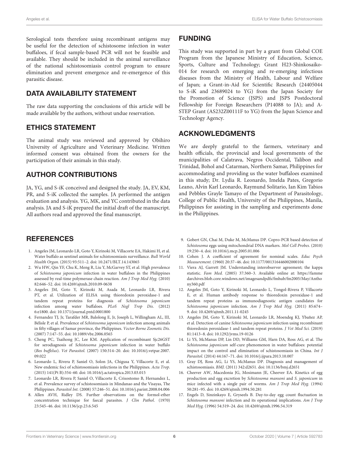Serological tests therefore using recombinant antigens may be useful for the detection of schistosome infection in water buffaloes, if fecal sample-based PCR will not be feasible and available. They should be included in the animal surveillance of the national schistosomiasis control program to ensure elimination and prevent emergence and re-emergence of this parasitic disease.

# DATA AVAILABILITY STATEMENT

The raw data supporting the conclusions of this article will be made available by the authors, without undue reservation.

## ETHICS STATEMENT

The animal study was reviewed and approved by Obihiro University of Agriculture and Veterinary Medicine. Written informed consent was obtained from the owners for the participation of their animals in this study.

# AUTHOR CONTRIBUTIONS

JA, YG, and S-iK conceived and designed the study. JA, EV, KM, PR, and S-iK collected the samples. JA performed the antigen evaluation and analysis. YG, MK, and YC contributed in the data analysis. JA and S-iK prepared the initial draft of the manuscript. All authors read and approved the final manuscript.

# **REFERENCES**

- <span id="page-7-0"></span>1. Angeles JM, Leonardo LR, Goto Y, Kirinoki M, Villacorte EA, Hakimi H, et al. Water buffalo as sentinel animals for schistosomiasis surveillance. Bull World Health Organ. (2015) 93:511–2. doi: [10.2471/BLT.14.143065](https://doi.org/10.2471/BLT.14.143065)
- <span id="page-7-1"></span>2. Wu HW, Qin YF, Chu K, Meng R, Liu Y, McGarvey ST, et al. High prevalence of Schistosoma japonicum infection in water buffaloes in the Philippines assessed by real-time polymerase chain reaction. Am J Trop Med Hyg. (2010) 82:646–52. doi: [10.4269/ajtmh.2010.09-0638](https://doi.org/10.4269/ajtmh.2010.09-0638)
- <span id="page-7-2"></span>3. Angeles JM, Goto Y, Kirinoki M, Asada M, Leonardo LR, Rivera PT, et al. Utilization of ELISA using thioredoxin peroxidase-1 and tandem repeat proteins for diagnosis of Schistosoma japonicum infection among water buffaloes. PLoS Negl Trop Dis. (2012) 6:e1800. doi: [10.1371/journal.pntd.0001800](https://doi.org/10.1371/journal.pntd.0001800)
- <span id="page-7-3"></span>4. Fernandez TJ, Jr, Tarafder MR, Balolong E, Jr, Joseph L, Willingham AL, III, Bélisle P, et al. Prevalence of Schistosoma japonicum infection among animals in fifty villages of Samar province, the Philippines. Vector Borne Zoonotic Dis. (2007) 7:147–55. doi: [10.1089/vbz.2006.0565](https://doi.org/10.1089/vbz.2006.0565)
- <span id="page-7-4"></span>5. Cheng PC, Tsaihong JC, Lee KM. Application of recombinant Sjc26GST for serodiagnosis of Schistosoma japonicum infection in water buffalo (Bos buffelus). Vet Parasitol. [\(2007\) 150:314–20. doi: 10.1016/j.vetpar.2007.](https://doi.org/10.1016/j.vetpar.2007.09.022) 09.022
- <span id="page-7-5"></span>6. Leonardo L, Rivera P, Saniel O, Solon JA, Chigusa Y, Villacorte E, et al. New endemic foci of schistosomiasis infections in the Philippines. Acta Trop. (2015) 141(Pt B):354–60. doi: [10.1016/j.actatropica.2013.03.015](https://doi.org/10.1016/j.actatropica.2013.03.015)
- <span id="page-7-6"></span>7. Leonardo LR, Rivera P, Saniel O, Villacorte E, Crisostomo B, Hernandez L, et al. Prevalence survey of schistosomiasis in Mindanao and the Visayas, The Philippines. Parasitol Int. (2008) 57:246–51. doi: [10.1016/j.parint.2008.04.006](https://doi.org/10.1016/j.parint.2008.04.006)
- <span id="page-7-7"></span>8. Allen AVH, Ridley DS. Further observations on the formol-ether concentration technique for faecal parasites. J Clin Pathol. (1970) 23:545–46. doi: [10.1136/jcp.23.6.545](https://doi.org/10.1136/jcp.23.6.545)

## FUNDING

This study was supported in part by a grant from Global COE Program from the Japanese Ministry of Education, Science, Sports, Culture and Technology; Grant H23-Shinkosaiko-014 for research on emerging and re-emerging infectious diseases from the Ministry of Health, Labour and Welfare of Japan; a Grant-in-Aid for Scientific Research (24405044 to S-iK and 23689024 to YG) from the Japan Society for the Promotion of Science (JSPS) and JSPS Postdoctoral Fellowship for Foreign Researchers (P14088 to JA); and A-STEP Grant (AS232Z00111F to YG) from the Japan Science and Technology Agency.

## ACKNOWLEDGMENTS

We are deeply grateful to the farmers, veterinary and health officials, the provincial and local governments of the municipalities of Calatrava, Negros Occidental, Talibon and Trinidad, Bohol and Catarman, Northern Samar, Philippines for accommodating and providing us the water buffaloes examined in this study; Dr. Lydia R. Leonardo, Imelda Pates, Gregorio Leano, Alvin Karl Leonardo, Raymund Solitario, Ian Kim Tabios and Pebbles Grayle Tamayo of the Department of Parasitology, College of Public Health, University of the Philippines, Manila, Philippines for assisting in the sampling and experiments done in the Philippines.

- <span id="page-7-8"></span>9. Gobert GN, Chai M, Duke M, McManus DP. Copro-PCR based detection of Schistosoma eggs using mitochondrial DNA markers. Mol Cell Probes. (2010) 19:250–4. doi: [10.1016/j.mcp.2005.01.006](https://doi.org/10.1016/j.mcp.2005.01.006)
- <span id="page-7-9"></span>10. Cohen J. A coefficient of agreement for nominal scales. Educ Psych Measurement. (1960) 20:37–46. doi: [10.1177/001316446002000104](https://doi.org/10.1177/001316446002000104)
- <span id="page-7-10"></span>11. Viera AJ, Garrett JM. Understanding interobserver agreement; the kappa statistic. Fam Med. (2005) 37:360–3. Available online at: [https://famme](https://fammedarchives.blob.core.windows.net/imagesandpdfs/fmhub/fm2005/May/Anthony360.pdf) [darchives.blob.core.windows.net/imagesandpdfs/fmhub/fm2005/May/Antho](https://fammedarchives.blob.core.windows.net/imagesandpdfs/fmhub/fm2005/May/Anthony360.pdf) [ny360.pdf](https://fammedarchives.blob.core.windows.net/imagesandpdfs/fmhub/fm2005/May/Anthony360.pdf)
- <span id="page-7-11"></span>12. Angeles JM, Goto Y, Kirinoki M, Leonardo L, Tongol-Rivera P, Villacorte E, et al. Human antibody response to thioredoxin peroxidase-1 and tandem repeat proteins as immunodiagnostic antigen candidates for Schistosoma japonicum infection. Am J Trop Med Hyg. (2011) 85:674– 9. doi: [10.4269/ajtmh.2011.11-0245](https://doi.org/10.4269/ajtmh.2011.11-0245)
- <span id="page-7-12"></span>13. Angeles JM, Goto Y, Kirinoki M, Leonardo LR, Moendeg KJ, Ybañez AP, et al. Detection of canine Schistosoma japonicum infection using recombinant thioredoxin peroxidase-1 and tandem repeat proteins. J Vet Med Sci. (2019) 81:1413–8. doi: [10.1292/jvms.19-0126](https://doi.org/10.1292/jvms.19-0126)
- <span id="page-7-13"></span>14. Li YS, McManus DP, Lin DD, Williams GM, Harn DA, Ross AG, et al. The Schistosoma japonicum self-cure phenomenon in water buffaloes: potential impact on the control and elimination of schistosomiasis in China. Int J Parasitol. (2014) 44:167–71. doi: [10.1016/j.ijpara.2013.10.007](https://doi.org/10.1016/j.ijpara.2013.10.007)
- <span id="page-7-14"></span>15. Gray DJ, Ross AG, Li YS, McManus DP. Diagnosis and management of schistosomiasis. BMJ. (2011) 342:d2651. doi: [10.1136/bmj.d2651](https://doi.org/10.1136/bmj.d2651)
- <span id="page-7-15"></span>16. Cheever AW, Macedonia JG, Mosimann JE, Cheever EA. Kinetics of egg production and egg excretion by Schistosoma mansoni and S. japonicum in mice infected with a single pair of worms. Am J Trop Med Hyg. (1994) 50:281–95. doi: [10.4269/ajtmh.1994.50.281](https://doi.org/10.4269/ajtmh.1994.50.281)
- <span id="page-7-16"></span>17. Engels D, Sinzinkayo E, Gryseels B. Day-to-day egg count fluctuation in Schistosoma mansoni infection and its operational implications. Am J Trop Med Hyg. (1996) 54:319–24. doi: [10.4269/ajtmh.1996.54.319](https://doi.org/10.4269/ajtmh.1996.54.319)